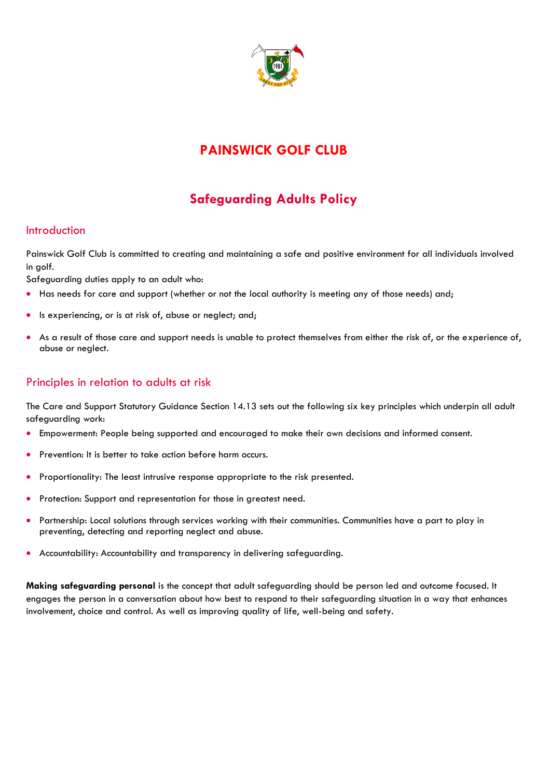

# **PAINSWICK GOLF CLUB**

# **Safeguarding Adults Policy**

#### **Introduction**

Painswick Golf Club is committed to creating and maintaining a safe and positive environment for all individuals involved in golf.

Safeguarding duties apply to an adult who:

- Has needs for care and support (whether or not the local authority is meeting any of those needs) and;
- Is experiencing, or is at risk of, abuse or neglect; and;
- As a result of those care and support needs is unable to protect themselves from either the risk of, or the experience of, abuse or neglect.

### Principles in relation to adults at risk

The Care and Support Statutory Guidance Section 14.13 sets out the following six key principles which underpin all adult safeguarding work:

- Empowerment: People being supported and encouraged to make their own decisions and informed consent.
- Prevention: It is better to take action before harm occurs.
- Proportionality: The least intrusive response appropriate to the risk presented.
- Protection: Support and representation for those in greatest need.
- Partnership: Local solutions through services working with their communities. Communities have a part to play in preventing, detecting and reporting neglect and abuse.
- Accountability: Accountability and transparency in delivering safeguarding.

**Making safeguarding personal** is the concept that adult safeguarding should be person led and outcome focused. It engages the person in a conversation about how best to respond to their safeguarding situation in a way that enhances involvement, choice and control. As well as improving quality of life, well-being and safety.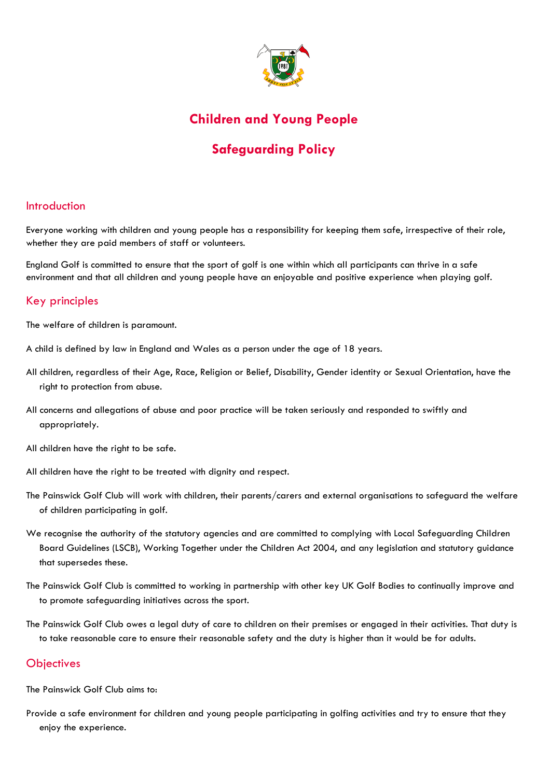

## **Children and Young People**

# **Safeguarding Policy**

#### Introduction

Everyone working with children and young people has a responsibility for keeping them safe, irrespective of their role, whether they are paid members of staff or volunteers.

England Golf is committed to ensure that the sport of golf is one within which all participants can thrive in a safe environment and that all children and young people have an enjoyable and positive experience when playing golf.

### Key principles

The welfare of children is paramount.

- A child is defined by law in England and Wales as a person under the age of 18 years.
- All children, regardless of their Age, Race, Religion or Belief, Disability, Gender identity or Sexual Orientation, have the right to protection from abuse.
- All concerns and allegations of abuse and poor practice will be taken seriously and responded to swiftly and appropriately.
- All children have the right to be safe.
- All children have the right to be treated with dignity and respect.
- The Painswick Golf Club will work with children, their parents/carers and external organisations to safeguard the welfare of children participating in golf.
- We recognise the authority of the statutory agencies and are committed to complying with Local Safeguarding Children Board Guidelines (LSCB), Working Together under the Children Act 2004, and any legislation and statutory guidance that supersedes these.
- The Painswick Golf Club is committed to working in partnership with other key UK Golf Bodies to continually improve and to promote safeguarding initiatives across the sport.
- The Painswick Golf Club owes a legal duty of care to children on their premises or engaged in their activities. That duty is to take reasonable care to ensure their reasonable safety and the duty is higher than it would be for adults.

### **Objectives**

The Painswick Golf Club aims to:

Provide a safe environment for children and young people participating in golfing activities and try to ensure that they enjoy the experience.